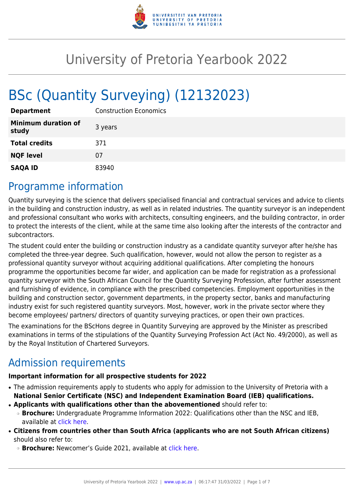

# University of Pretoria Yearbook 2022

# BSc (Quantity Surveying) (12132023)

| <b>Department</b>                   | <b>Construction Economics</b> |
|-------------------------------------|-------------------------------|
| <b>Minimum duration of</b><br>study | 3 years                       |
| <b>Total credits</b>                | 371                           |
| <b>NQF level</b>                    | 07                            |
| <b>SAQA ID</b>                      | 83940                         |

### Programme information

Quantity surveying is the science that delivers specialised financial and contractual services and advice to clients in the building and construction industry, as well as in related industries. The quantity surveyor is an independent and professional consultant who works with architects, consulting engineers, and the building contractor, in order to protect the interests of the client, while at the same time also looking after the interests of the contractor and subcontractors.

The student could enter the building or construction industry as a candidate quantity surveyor after he/she has completed the three-year degree. Such qualification, however, would not allow the person to register as a professional quantity surveyor without acquiring additional qualifications. After completing the honours programme the opportunities become far wider, and application can be made for registration as a professional quantity surveyor with the South African Council for the Quantity Surveying Profession, after further assessment and furnishing of evidence, in compliance with the prescribed competencies. Employment opportunities in the building and construction sector, government departments, in the property sector, banks and manufacturing industry exist for such registered quantity surveyors. Most, however, work in the private sector where they become employees/ partners/ directors of quantity surveying practices, or open their own practices.

The examinations for the BScHons degree in Quantity Surveying are approved by the Minister as prescribed examinations in terms of the stipulations of the Quantity Surveying Profession Act (Act No. 49/2000), as well as by the Royal Institution of Chartered Surveyors.

# Admission requirements

#### **Important information for all prospective students for 2022**

- The admission requirements apply to students who apply for admission to the University of Pretoria with a **National Senior Certificate (NSC) and Independent Examination Board (IEB) qualifications.**
- **Applicants with qualifications other than the abovementioned** should refer to: ❍ **Brochure:** Undergraduate Programme Information 2022: Qualifications other than the NSC and IEB, available at [click here.](https://www.up.ac.za/students/article/2749263/admission-information)
- **Citizens from countries other than South Africa (applicants who are not South African citizens)** should also refer to:
	- ❍ **Brochure:** Newcomer's Guide 2021, available at [click here.](https://www.up.ac.za/students/article/2749263/admission-information)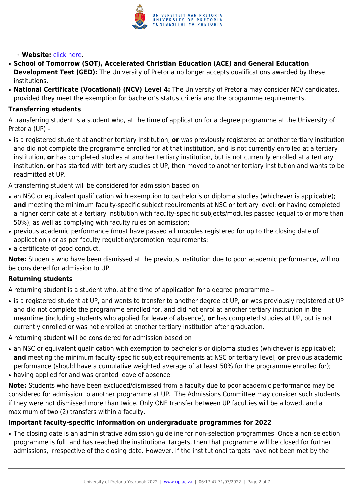

#### ❍ **Website:** [click here](http://www.up.ac.za/international-cooperation-division).

- **School of Tomorrow (SOT), Accelerated Christian Education (ACE) and General Education Development Test (GED):** The University of Pretoria no longer accepts qualifications awarded by these institutions.
- **National Certificate (Vocational) (NCV) Level 4:** The University of Pretoria may consider NCV candidates, provided they meet the exemption for bachelor's status criteria and the programme requirements.

#### **Transferring students**

A transferring student is a student who, at the time of application for a degree programme at the University of Pretoria (UP) –

● is a registered student at another tertiary institution, **or** was previously registered at another tertiary institution and did not complete the programme enrolled for at that institution, and is not currently enrolled at a tertiary institution, **or** has completed studies at another tertiary institution, but is not currently enrolled at a tertiary institution, **or** has started with tertiary studies at UP, then moved to another tertiary institution and wants to be readmitted at UP.

A transferring student will be considered for admission based on

- an NSC or equivalent qualification with exemption to bachelor's or diploma studies (whichever is applicable); **and** meeting the minimum faculty-specific subject requirements at NSC or tertiary level; **or** having completed a higher certificate at a tertiary institution with faculty-specific subjects/modules passed (equal to or more than 50%), as well as complying with faculty rules on admission;
- previous academic performance (must have passed all modules registered for up to the closing date of application ) or as per faculty regulation/promotion requirements;
- a certificate of good conduct.

**Note:** Students who have been dismissed at the previous institution due to poor academic performance, will not be considered for admission to UP.

#### **Returning students**

A returning student is a student who, at the time of application for a degree programme –

● is a registered student at UP, and wants to transfer to another degree at UP, **or** was previously registered at UP and did not complete the programme enrolled for, and did not enrol at another tertiary institution in the meantime (including students who applied for leave of absence), **or** has completed studies at UP, but is not currently enrolled or was not enrolled at another tertiary institution after graduation.

A returning student will be considered for admission based on

- an NSC or equivalent qualification with exemption to bachelor's or diploma studies (whichever is applicable); **and** meeting the minimum faculty-specific subject requirements at NSC or tertiary level; **or** previous academic performance (should have a cumulative weighted average of at least 50% for the programme enrolled for);
- having applied for and was granted leave of absence.

**Note:** Students who have been excluded/dismissed from a faculty due to poor academic performance may be considered for admission to another programme at UP. The Admissions Committee may consider such students if they were not dismissed more than twice. Only ONE transfer between UP faculties will be allowed, and a maximum of two (2) transfers within a faculty.

#### **Important faculty-specific information on undergraduate programmes for 2022**

• The closing date is an administrative admission guideline for non-selection programmes. Once a non-selection programme is full and has reached the institutional targets, then that programme will be closed for further admissions, irrespective of the closing date. However, if the institutional targets have not been met by the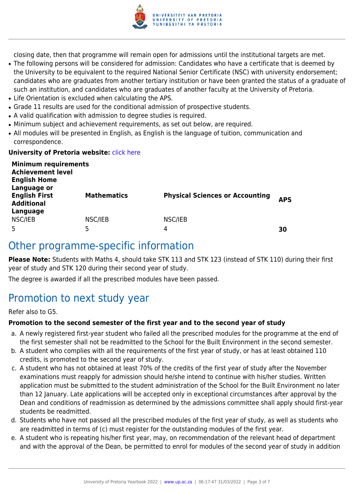

closing date, then that programme will remain open for admissions until the institutional targets are met.

- The following persons will be considered for admission: Candidates who have a certificate that is deemed by the University to be equivalent to the required National Senior Certificate (NSC) with university endorsement; candidates who are graduates from another tertiary institution or have been granted the status of a graduate of such an institution, and candidates who are graduates of another faculty at the University of Pretoria.
- Life Orientation is excluded when calculating the APS.
- Grade 11 results are used for the conditional admission of prospective students.
- A valid qualification with admission to degree studies is required.
- Minimum subject and achievement requirements, as set out below, are required.
- All modules will be presented in English, as English is the language of tuition, communication and correspondence.

#### **University of Pretoria website: [click here](http://www.up.ac.za/ebit)**

| <b>Minimum requirements</b><br><b>Achievement level</b><br><b>English Home</b><br>Language or |                    |                                        |            |
|-----------------------------------------------------------------------------------------------|--------------------|----------------------------------------|------------|
| <b>English First</b><br><b>Additional</b><br>Language                                         | <b>Mathematics</b> | <b>Physical Sciences or Accounting</b> | <b>APS</b> |
| NSC/IEB<br>5                                                                                  | NSC/IEB<br>5       | NSC/IEB<br>4                           | 30         |

### Other programme-specific information

**Please Note:** Students with Maths 4, should take STK 113 and STK 123 (instead of STK 110) during their first year of study and STK 120 during their second year of study.

The degree is awarded if all the prescribed modules have been passed.

# Promotion to next study year

Refer also to G5.

#### **Promotion to the second semester of the first year and to the second year of study**

- a. A newly registered first-year student who failed all the prescribed modules for the programme at the end of the first semester shall not be readmitted to the School for the Built Environment in the second semester.
- b. A student who complies with all the requirements of the first year of study, or has at least obtained 110 credits, is promoted to the second year of study.
- c. A student who has not obtained at least 70% of the credits of the first year of study after the November examinations must reapply for admission should he/she intend to continue with his/her studies. Written application must be submitted to the student administration of the School for the Built Environment no later than 12 January. Late applications will be accepted only in exceptional circumstances after approval by the Dean and conditions of readmission as determined by the admissions committee shall apply should first-year students be readmitted.
- d. Students who have not passed all the prescribed modules of the first year of study, as well as students who are readmitted in terms of (c) must register for the outstanding modules of the first year.
- e. A student who is repeating his/her first year, may, on recommendation of the relevant head of department and with the approval of the Dean, be permitted to enrol for modules of the second year of study in addition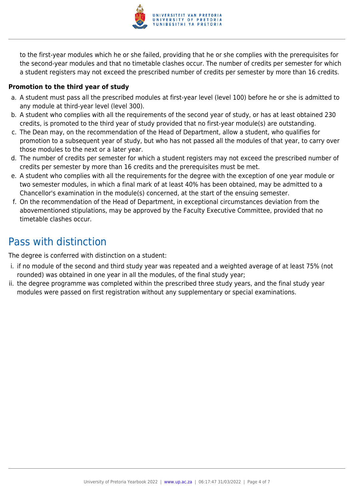

to the first-year modules which he or she failed, providing that he or she complies with the prerequisites for the second-year modules and that no timetable clashes occur. The number of credits per semester for which a student registers may not exceed the prescribed number of credits per semester by more than 16 credits.

#### **Promotion to the third year of study**

- a. A student must pass all the prescribed modules at first-year level (level 100) before he or she is admitted to any module at third-year level (level 300).
- b. A student who complies with all the requirements of the second year of study, or has at least obtained 230 credits, is promoted to the third year of study provided that no first-year module(s) are outstanding.
- c. The Dean may, on the recommendation of the Head of Department, allow a student, who qualifies for promotion to a subsequent year of study, but who has not passed all the modules of that year, to carry over those modules to the next or a later year.
- d. The number of credits per semester for which a student registers may not exceed the prescribed number of credits per semester by more than 16 credits and the prerequisites must be met.
- e. A student who complies with all the requirements for the degree with the exception of one year module or two semester modules, in which a final mark of at least 40% has been obtained, may be admitted to a Chancellor's examination in the module(s) concerned, at the start of the ensuing semester.
- f. On the recommendation of the Head of Department, in exceptional circumstances deviation from the abovementioned stipulations, may be approved by the Faculty Executive Committee, provided that no timetable clashes occur.

# Pass with distinction

The degree is conferred with distinction on a student:

- i. if no module of the second and third study year was repeated and a weighted average of at least 75% (not rounded) was obtained in one year in all the modules, of the final study year;
- ii. the degree programme was completed within the prescribed three study years, and the final study year modules were passed on first registration without any supplementary or special examinations.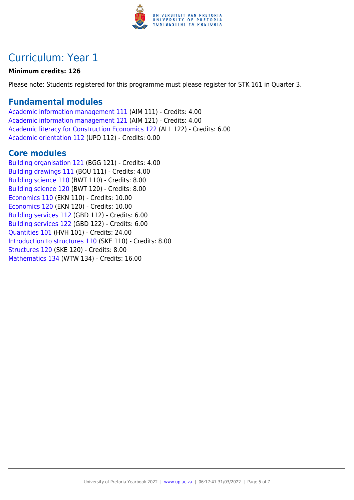

# Curriculum: Year 1

#### **Minimum credits: 126**

Please note: Students registered for this programme must please register for STK 161 in Quarter 3.

### **Fundamental modules**

[Academic information management 111](https://www.up.ac.za/yearbooks/2022/modules/view/AIM 111) (AIM 111) - Credits: 4.00 [Academic information management 121](https://www.up.ac.za/yearbooks/2022/modules/view/AIM 121) (AIM 121) - Credits: 4.00 [Academic literacy for Construction Economics 122](https://www.up.ac.za/yearbooks/2022/modules/view/ALL 122) (ALL 122) - Credits: 6.00 [Academic orientation 112](https://www.up.ac.za/yearbooks/2022/modules/view/UPO 112) (UPO 112) - Credits: 0.00

### **Core modules**

[Building organisation 121](https://www.up.ac.za/yearbooks/2022/modules/view/BGG 121) (BGG 121) - Credits: 4.00 [Building drawings 111](https://www.up.ac.za/yearbooks/2022/modules/view/BOU 111) (BOU 111) - Credits: 4.00 [Building science 110](https://www.up.ac.za/yearbooks/2022/modules/view/BWT 110) (BWT 110) - Credits: 8.00 [Building science 120](https://www.up.ac.za/yearbooks/2022/modules/view/BWT 120) (BWT 120) - Credits: 8.00 [Economics 110](https://www.up.ac.za/yearbooks/2022/modules/view/EKN 110) (EKN 110) - Credits: 10.00 [Economics 120](https://www.up.ac.za/yearbooks/2022/modules/view/EKN 120) (EKN 120) - Credits: 10.00 [Building services 112](https://www.up.ac.za/yearbooks/2022/modules/view/GBD 112) (GBD 112) - Credits: 6.00 [Building services 122](https://www.up.ac.za/yearbooks/2022/modules/view/GBD 122) (GBD 122) - Credits: 6.00 [Quantities 101](https://www.up.ac.za/yearbooks/2022/modules/view/HVH 101) (HVH 101) - Credits: 24.00 [Introduction to structures 110](https://www.up.ac.za/yearbooks/2022/modules/view/SKE 110) (SKE 110) - Credits: 8.00 [Structures 120](https://www.up.ac.za/yearbooks/2022/modules/view/SKE 120) (SKE 120) - Credits: 8.00 [Mathematics 134](https://www.up.ac.za/yearbooks/2022/modules/view/WTW 134) (WTW 134) - Credits: 16.00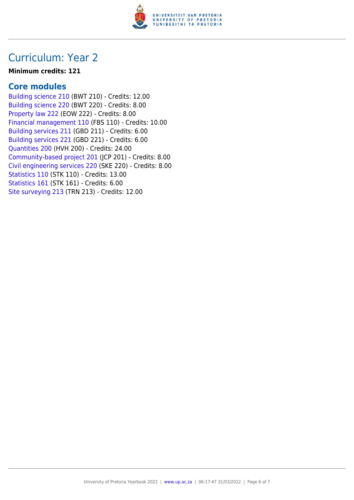

### Curriculum: Year 2

#### **Minimum credits: 121**

### **Core modules**

[Building science 210](https://www.up.ac.za/yearbooks/2022/modules/view/BWT 210) (BWT 210) - Credits: 12.00 [Building science 220](https://www.up.ac.za/yearbooks/2022/modules/view/BWT 220) (BWT 220) - Credits: 8.00 [Property law 222](https://www.up.ac.za/yearbooks/2022/modules/view/EOW 222) (EOW 222) - Credits: 8.00 [Financial management 110](https://www.up.ac.za/yearbooks/2022/modules/view/FBS 110) (FBS 110) - Credits: 10.00 [Building services 211](https://www.up.ac.za/yearbooks/2022/modules/view/GBD 211) (GBD 211) - Credits: 6.00 [Building services 221](https://www.up.ac.za/yearbooks/2022/modules/view/GBD 221) (GBD 221) - Credits: 6.00 [Quantities 200](https://www.up.ac.za/yearbooks/2022/modules/view/HVH 200) (HVH 200) - Credits: 24.00 [Community-based project 201](https://www.up.ac.za/yearbooks/2022/modules/view/JCP 201) (JCP 201) - Credits: 8.00 [Civil engineering services 220](https://www.up.ac.za/yearbooks/2022/modules/view/SKE 220) (SKE 220) - Credits: 8.00 [Statistics 110](https://www.up.ac.za/yearbooks/2022/modules/view/STK 110) (STK 110) - Credits: 13.00 [Statistics 161](https://www.up.ac.za/yearbooks/2022/modules/view/STK 161) (STK 161) - Credits: 6.00 [Site surveying 213](https://www.up.ac.za/yearbooks/2022/modules/view/TRN 213) (TRN 213) - Credits: 12.00